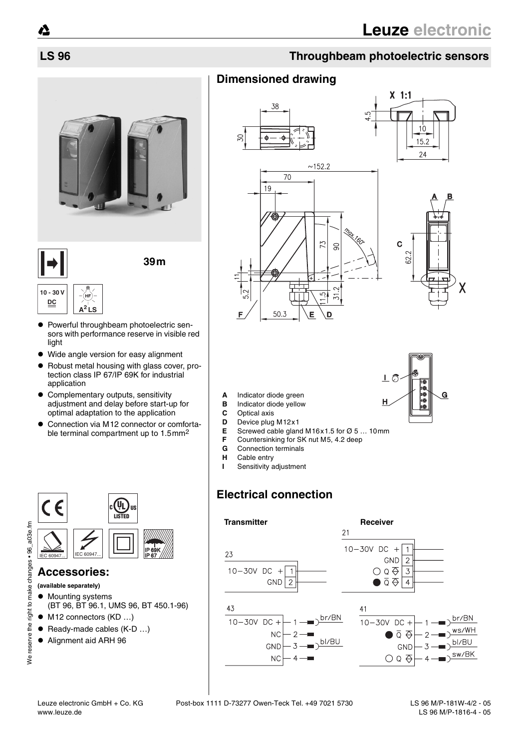# **LS 96 Throughbeam photoelectric sensors**

# **Dimensioned drawing**





- **A** Indicator diode green
- **B** Indicator diode yellow<br>**C** Optical axis
- **C** Optical axis
- **D** Device plug M12x1
- **E** Screwed cable gland M16x1.5 for Ø 5 ... 10mm<br>**F** Countersinking for SK nut M5. 4.2 deep
- **F** Countersinking for SK nut M5, 4.2 deep
- **G** Connection terminals
- **H** Cable entry
- **I** Sensitivity adjustment

# **Electrical connection**







 $\bullet$  Powerful throughbeam photoelectric sensors with performance reserve in visible red light

**39m**

- Wide angle version for easy alignment
- $\bullet$  Robust metal housing with glass cover, protection class IP 67/IP 69K for industrial application
- $\bullet$  Complementary outputs, sensitivity adjustment and delay before start-up for optimal adaptation to the application
- Connection via M12 connector or comfortable terminal compartment up to 1.5mm2



### **Accessories:**

- **(available separately)**
- Mounting systems (BT 96, BT 96.1, UMS 96, BT 450.1-96)
- $\bullet$  M12 connectors (KD ...)
- $\bullet$  Ready-made cables (K-D ...)
- Alignment aid ARH 96